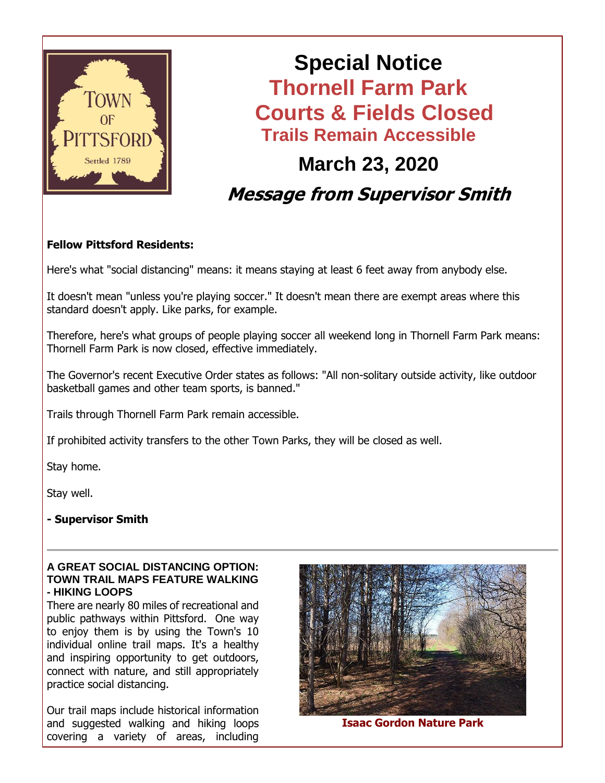

## **Special Notice Thornell Farm Park Courts & Fields Closed Trails Remain Accessible March 23, 2020**

# **Message from Supervisor Smith**

#### **Fellow Pittsford Residents:**

Here's what "social distancing" means: it means staying at least 6 feet away from anybody else.

It doesn't mean "unless you're playing soccer." It doesn't mean there are exempt areas where this standard doesn't apply. Like parks, for example.

Therefore, here's what groups of people playing soccer all weekend long in Thornell Farm Park means: Thornell Farm Park is now closed, effective immediately.

The Governor's recent Executive Order states as follows: "All non-solitary outside activity, like outdoor basketball games and other team sports, is banned."

Trails through Thornell Farm Park remain accessible.

If prohibited activity transfers to the other Town Parks, they will be closed as well.

Stay home.

Stay well.

#### **- Supervisor Smith**

#### **A GREAT SOCIAL DISTANCING OPTION: TOWN TRAIL MAPS FEATURE WALKING - HIKING LOOPS**

There are nearly 80 miles of recreational and public pathways within Pittsford. One way to enjoy them is by using the Town's 10 individual online trail maps. It's a healthy and inspiring opportunity to get outdoors, connect with nature, and still appropriately practice social distancing.

Our trail maps include historical information and suggested walking and hiking loops covering a variety of areas, including



**Isaac Gordon Nature Park**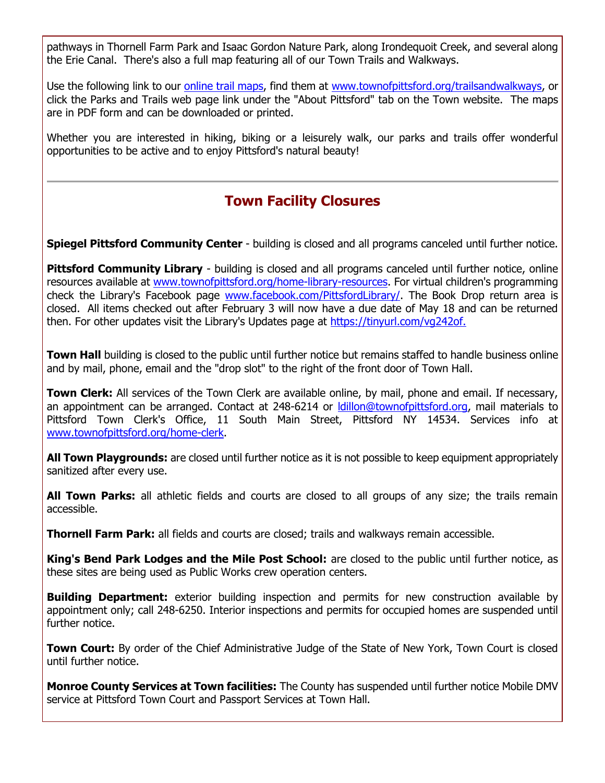pathways in Thornell Farm Park and Isaac Gordon Nature Park, along Irondequoit Creek, and several along the Erie Canal. There's also a full map featuring all of our Town Trails and Walkways.

Use the following link to our [online trail maps,](http://r20.rs6.net/tn.jsp?f=001mhFeMSZ6kGClnqxkEc_RjYwSi7tE_9btHdE8jTaXPU8q9rhNKaEWKtEMIjwEeD8PbufOgMhsFiEm8mX8sRcFV-B_6-5366ydgcWYUL2JpZFBzeX8kJNjEl0aAVtkVlrYS6PmDfxEwVAotuOPKt7vj4en9AOKHyEbi5dOKERZhfAHeun1NLVPGhvx6AjBJlY47vMRHKebunDqu_5XI5SssNlcHcxYHBWGEZHJN05QENlRyBCn_YOCf7irehYy0sCaEqUWd8gfDCunlmom8ndO1JVUs5liKvH9_ccEjKeF3jnapvFUVfpq5EBv43BC8T-FlCOU9JKrmpKieiZANiFM2j59B_cj1ZTgwuYj0um9qvhIs_4rTU3u-86A4H2W_wIPy1q461KzmR2gpAiIL4ZNtI_fUm2JcOpPPQrKdQxiUL2SH2CSHVzIqdJAtGtLnRqha9WEMvyvPDP5gBvJknEug80XtXN0K07fm51F7EN-1SBgUROoWBWWmLZGJkiogjP19OhHS2Ln9DPzKM6kw5b9xRSwXjkoe55zotiLH1TVFryQ1W5dTLvcJQ==&c=trNQ_npdFKaClASaT6ynMCZL5_3z51WXRXdQujf_y4bl-mKzHG40ng==&ch=Ts4GhH3KjIEivIS2BvN036VP0B-ddlyii7N44RgPqCTBbppoPoel-Q==) find them at [www.townofpittsford.org/trailsandwalkways,](http://r20.rs6.net/tn.jsp?f=001mhFeMSZ6kGClnqxkEc_RjYwSi7tE_9btHdE8jTaXPU8q9rhNKaEWKtEMIjwEeD8PbufOgMhsFiEm8mX8sRcFV-B_6-5366ydgcWYUL2JpZFBzeX8kJNjEl0aAVtkVlrYS6PmDfxEwVAotuOPKt7vj4en9AOKHyEbi5dOKERZhfAHeun1NLVPGhvx6AjBJlY47vMRHKebunDqu_5XI5SssNlcHcxYHBWGEZHJN05QENlRyBCn_YOCf7irehYy0sCaEqUWd8gfDCunlmom8ndO1JVUs5liKvH9_ccEjKeF3jnapvFUVfpq5EBv43BC8T-FlCOU9JKrmpKieiZANiFM2j59B_cj1ZTgwuYj0um9qvhIs_4rTU3u-86A4H2W_wIPy1q461KzmR2gpAiIL4ZNtI_fUm2JcOpPPQrKdQxiUL2SH2CSHVzIqdJAtGtLnRqha9WEMvyvPDP5gBvJknEug80XtXN0K07fm51F7EN-1SBgUROoWBWWmLZGJkiogjP19OhHS2Ln9DPzKM6kw5b9xRSwXjkoe55zotiLH1TVFryQ1W5dTLvcJQ==&c=trNQ_npdFKaClASaT6ynMCZL5_3z51WXRXdQujf_y4bl-mKzHG40ng==&ch=Ts4GhH3KjIEivIS2BvN036VP0B-ddlyii7N44RgPqCTBbppoPoel-Q==) or click the Parks and Trails web page link under the "About Pittsford" tab on the Town website. The maps are in PDF form and can be downloaded or printed.

Whether you are interested in hiking, biking or a leisurely walk, our parks and trails offer wonderful opportunities to be active and to enjoy Pittsford's natural beauty!

## **Town Facility Closures**

**Spiegel Pittsford Community Center** - building is closed and all programs canceled until further notice.

**Pittsford Community Library** - building is closed and all programs canceled until further notice, online resources available at [www.townofpittsford.org/home-library-resources.](http://r20.rs6.net/tn.jsp?f=001mhFeMSZ6kGClnqxkEc_RjYwSi7tE_9btHdE8jTaXPU8q9rhNKaEWKoCQBkpa0Co_LNX41uorSV59wc-8M0r4x0Lg2Q8ZFwoHKuKDmXfOv3NVI1vsdT_AlQdkb1PtIv0g-SZ-GvjXqv3tz6WxZAPn-RNvy1y36rAMjWjFhWp6Y-Ba2A2Y7cqLLU2t0JOATSHIr4pb5pDa-vq6reugpoVpB-r4utkNbdUBSXuJxA_B3P8SMuXWnxLth3pkgtKsS7WPE_KQ4uhvp-_aPYmailUgtZwGGT_OLk_xRCflNPXrBTme0GWVV_qwUbDXrNTG-YX1P60KJ1U1lg2CX5yPdvASq6F86ATUkUyKEUmKEXj_CWYmUMppSkPk71MA7vJk5GQnMJjnlNoquTs2gTc1TlWSj0vkHWHFkbq6MFwwtbNR3-W0x96DKH-G3PU_o-uQFG3botP-X7WcQs1gPjdSXTEM1-8PbmevIX0Nq_8HDcIwOfQKqFsM4uAD8pqj0DWOGZF3xC16u7w4PPebdJL4K8FCseyp_dfsZYzcg05qzWvHJzrGwaD_cTp3dA==&c=trNQ_npdFKaClASaT6ynMCZL5_3z51WXRXdQujf_y4bl-mKzHG40ng==&ch=Ts4GhH3KjIEivIS2BvN036VP0B-ddlyii7N44RgPqCTBbppoPoel-Q==) For virtual children's programming check the Library's Facebook page [www.facebook.com/PittsfordLibrary/.](http://r20.rs6.net/tn.jsp?f=001mhFeMSZ6kGClnqxkEc_RjYwSi7tE_9btHdE8jTaXPU8q9rhNKaEWKvRx0YEEdU3A-f3yNl5bH9jEp6Ddq9i53JKK-93Sjy3bX4RHYyn6ANRiKNGa4lE_JDWQ0PxhnGHxNRZHrbFO0aLCes80lhrSSCw0Qj-u26Ogz-ca_kAN2snPWpOdiyaWlwTeYoL0X29UNgTsduFg-oQ=&c=trNQ_npdFKaClASaT6ynMCZL5_3z51WXRXdQujf_y4bl-mKzHG40ng==&ch=Ts4GhH3KjIEivIS2BvN036VP0B-ddlyii7N44RgPqCTBbppoPoel-Q==) The Book Drop return area is closed. All items checked out after February 3 will now have a due date of May 18 and can be returned then. For other updates visit the Library's Updates page at [https://tinyurl.com/vg242of.](http://r20.rs6.net/tn.jsp?f=001mhFeMSZ6kGClnqxkEc_RjYwSi7tE_9btHdE8jTaXPU8q9rhNKaEWKvRx0YEEdU3A_3HtLOkZKrGSikj1v30sG88lZtEhOEkmaNYUEjIUYr8fMZ8f1V8lrku1X_2iJyw8BcNGk5xf268SP7LlBXqB-tJ2ABD6eGs4px4b3Nudsq80S7ki6qqJ8A==&c=trNQ_npdFKaClASaT6ynMCZL5_3z51WXRXdQujf_y4bl-mKzHG40ng==&ch=Ts4GhH3KjIEivIS2BvN036VP0B-ddlyii7N44RgPqCTBbppoPoel-Q==)

**Town Hall** building is closed to the public until further notice but remains staffed to handle business online and by mail, phone, email and the "drop slot" to the right of the front door of Town Hall.

**Town Clerk:** All services of the Town Clerk are available online, by mail, phone and email. If necessary, an appointment can be arranged. Contact at 248-6214 or Idillon@townofpittsford.org, mail materials to Pittsford Town Clerk's Office, 11 South Main Street, Pittsford NY 14534. Services info at [www.townofpittsford.org/home-clerk.](http://r20.rs6.net/tn.jsp?f=001mhFeMSZ6kGClnqxkEc_RjYwSi7tE_9btHdE8jTaXPU8q9rhNKaEWKoCQBkpa0Co_7VIfLcT1Q9W5xnQjCbSENIE-khFcAG21E6XWyHJb7FAQFX5R0g18LhgHKYM1nFraJvS-3h4hhFt6pc8UPGSoADe5X2d06c1YOexBngE5K9ra-yWosmVv25Tu1ZDDhOW-2uxSLqlFQOCKcBhe0CXV0XWBFBOqucOm2ltJ0tj-qsm44WVJVJWP-BClY7e_b5AbwcgEA41ylKQ_smsb5YEPFmN5YixoGVON-mpb85cfzUzqNCvUI1s44NBS0vx0zilg2qpCruLG13qDwvT0_UIqXjwWuYzHhHpHCnlTVwxjbIbF7ObC0QxVESXuOOL3a7adCES5ZPdwHCGn8w3Fyg48A9LSWxawH7kWHnz-A8AaCmFffpRjzRC0zK40V8WrruzgXpe6udHNnNawsFPGEDDX938maIETZZeHPgpHZDMVgf2Hu32ylLXske8zJyatq71fE4Su5SC9pO0r-ZeF72I3ISh7Ikx9r7ixJM81T2R2WMc=&c=trNQ_npdFKaClASaT6ynMCZL5_3z51WXRXdQujf_y4bl-mKzHG40ng==&ch=Ts4GhH3KjIEivIS2BvN036VP0B-ddlyii7N44RgPqCTBbppoPoel-Q==)

**All Town Playgrounds:** are closed until further notice as it is not possible to keep equipment appropriately sanitized after every use.

**All Town Parks:** all athletic fields and courts are closed to all groups of any size; the trails remain accessible.

**Thornell Farm Park:** all fields and courts are closed; trails and walkways remain accessible.

**King's Bend Park Lodges and the Mile Post School:** are closed to the public until further notice, as these sites are being used as Public Works crew operation centers.

**Building Department:** exterior building inspection and permits for new construction available by appointment only; call 248-6250. Interior inspections and permits for occupied homes are suspended until further notice.

**Town Court:** By order of the Chief Administrative Judge of the State of New York, Town Court is closed until further notice.

**Monroe County Services at Town facilities:** The County has suspended until further notice Mobile DMV service at Pittsford Town Court and Passport Services at Town Hall.